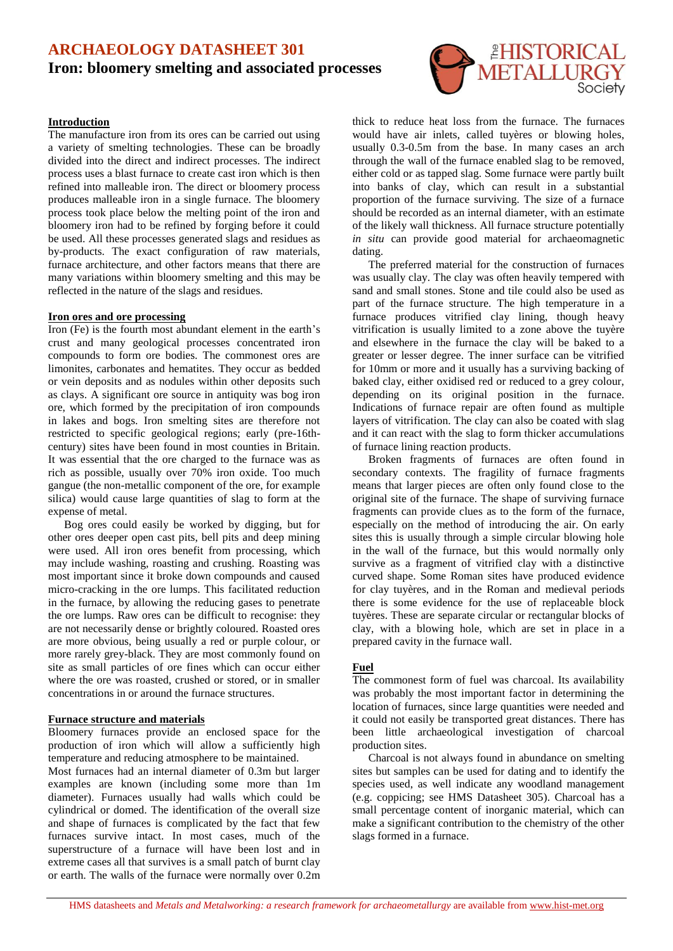# **ARCHAEOLOGY DATASHEET 301 Iron: bloomery smelting and associated processes**

## **Introduction**

The manufacture iron from its ores can be carried out using a variety of smelting technologies. These can be broadly divided into the direct and indirect processes. The indirect process uses a blast furnace to create cast iron which is then refined into malleable iron. The direct or bloomery process produces malleable iron in a single furnace. The bloomery process took place below the melting point of the iron and bloomery iron had to be refined by forging before it could be used. All these processes generated slags and residues as by-products. The exact configuration of raw materials, furnace architecture, and other factors means that there are many variations within bloomery smelting and this may be reflected in the nature of the slags and residues.

### **Iron ores and ore processing**

Iron (Fe) is the fourth most abundant element in the earth's crust and many geological processes concentrated iron compounds to form ore bodies. The commonest ores are limonites, carbonates and hematites. They occur as bedded or vein deposits and as nodules within other deposits such as clays. A significant ore source in antiquity was bog iron ore, which formed by the precipitation of iron compounds in lakes and bogs. Iron smelting sites are therefore not restricted to specific geological regions; early (pre-16thcentury) sites have been found in most counties in Britain. It was essential that the ore charged to the furnace was as rich as possible, usually over 70% iron oxide. Too much gangue (the non-metallic component of the ore, for example silica) would cause large quantities of slag to form at the expense of metal.

Bog ores could easily be worked by digging, but for other ores deeper open cast pits, bell pits and deep mining were used. All iron ores benefit from processing, which may include washing, roasting and crushing. Roasting was most important since it broke down compounds and caused micro-cracking in the ore lumps. This facilitated reduction in the furnace, by allowing the reducing gases to penetrate the ore lumps. Raw ores can be difficult to recognise: they are not necessarily dense or brightly coloured. Roasted ores are more obvious, being usually a red or purple colour, or more rarely grey-black. They are most commonly found on site as small particles of ore fines which can occur either where the ore was roasted, crushed or stored, or in smaller concentrations in or around the furnace structures.

#### **Furnace structure and materials**

Bloomery furnaces provide an enclosed space for the production of iron which will allow a sufficiently high temperature and reducing atmosphere to be maintained.

Most furnaces had an internal diameter of 0.3m but larger examples are known (including some more than 1m diameter). Furnaces usually had walls which could be cylindrical or domed. The identification of the overall size and shape of furnaces is complicated by the fact that few furnaces survive intact. In most cases, much of the superstructure of a furnace will have been lost and in extreme cases all that survives is a small patch of burnt clay or earth. The walls of the furnace were normally over 0.2m



thick to reduce heat loss from the furnace. The furnaces would have air inlets, called tuyères or blowing holes, usually 0.3-0.5m from the base. In many cases an arch through the wall of the furnace enabled slag to be removed, either cold or as tapped slag. Some furnace were partly built into banks of clay, which can result in a substantial proportion of the furnace surviving. The size of a furnace should be recorded as an internal diameter, with an estimate of the likely wall thickness. All furnace structure potentially *in situ* can provide good material for archaeomagnetic dating.

The preferred material for the construction of furnaces was usually clay. The clay was often heavily tempered with sand and small stones. Stone and tile could also be used as part of the furnace structure. The high temperature in a furnace produces vitrified clay lining, though heavy vitrification is usually limited to a zone above the tuyère and elsewhere in the furnace the clay will be baked to a greater or lesser degree. The inner surface can be vitrified for 10mm or more and it usually has a surviving backing of baked clay, either oxidised red or reduced to a grey colour, depending on its original position in the furnace. Indications of furnace repair are often found as multiple layers of vitrification. The clay can also be coated with slag and it can react with the slag to form thicker accumulations of furnace lining reaction products.

Broken fragments of furnaces are often found in secondary contexts. The fragility of furnace fragments means that larger pieces are often only found close to the original site of the furnace. The shape of surviving furnace fragments can provide clues as to the form of the furnace, especially on the method of introducing the air. On early sites this is usually through a simple circular blowing hole in the wall of the furnace, but this would normally only survive as a fragment of vitrified clay with a distinctive curved shape. Some Roman sites have produced evidence for clay tuyères, and in the Roman and medieval periods there is some evidence for the use of replaceable block tuyères. These are separate circular or rectangular blocks of clay, with a blowing hole, which are set in place in a prepared cavity in the furnace wall.

## **Fuel**

The commonest form of fuel was charcoal. Its availability was probably the most important factor in determining the location of furnaces, since large quantities were needed and it could not easily be transported great distances. There has been little archaeological investigation of charcoal production sites.

Charcoal is not always found in abundance on smelting sites but samples can be used for dating and to identify the species used, as well indicate any woodland management (e.g. coppicing; see HMS Datasheet 305). Charcoal has a small percentage content of inorganic material, which can make a significant contribution to the chemistry of the other slags formed in a furnace.